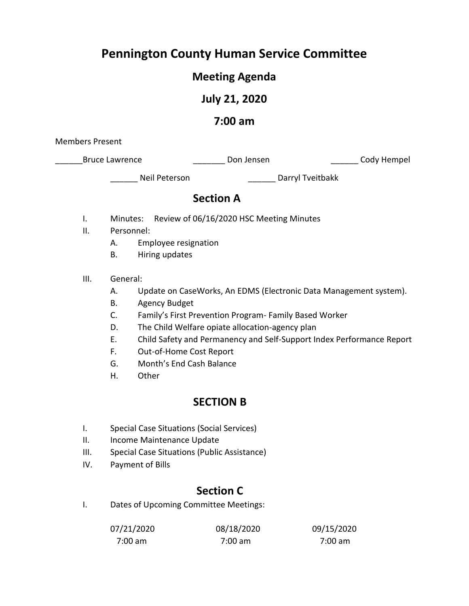## **Pennington County Human Service Committee**

## **Meeting Agenda**

## **July 21, 2020**

## **7:00 am**

Members Present

\_Bruce Lawrence \_\_\_\_\_\_\_\_\_\_\_\_\_\_\_\_\_\_\_\_\_\_\_\_Don Jensen \_\_\_\_\_\_\_\_\_\_\_\_\_\_\_\_\_\_\_\_\_\_\_Cody Hempel

\_\_\_\_\_\_ Neil Peterson \_\_\_\_\_\_ Darryl Tveitbakk

## **Section A**

- I. Minutes: Review of 06/16/2020 HSC Meeting Minutes
- II. Personnel:
	- A. Employee resignation
	- B. Hiring updates
- III. General:
	- A. Update on CaseWorks, An EDMS (Electronic Data Management system).
	- B. Agency Budget
	- C. Family's First Prevention Program- Family Based Worker
	- D. The Child Welfare opiate allocation-agency plan
	- E. Child Safety and Permanency and Self-Support Index Performance Report
	- F. Out-of-Home Cost Report
	- G. Month's End Cash Balance
	- H. Other

## **SECTION B**

- I. Special Case Situations (Social Services)
- II. Income Maintenance Update
- III. Special Case Situations (Public Assistance)
- IV. Payment of Bills

## **Section C**

I. Dates of Upcoming Committee Meetings:

| 07/21/2020 | 08/18/2020 | 09/15/2020 |
|------------|------------|------------|
| $7:00$ am  | 7:00 am    | 7:00 am    |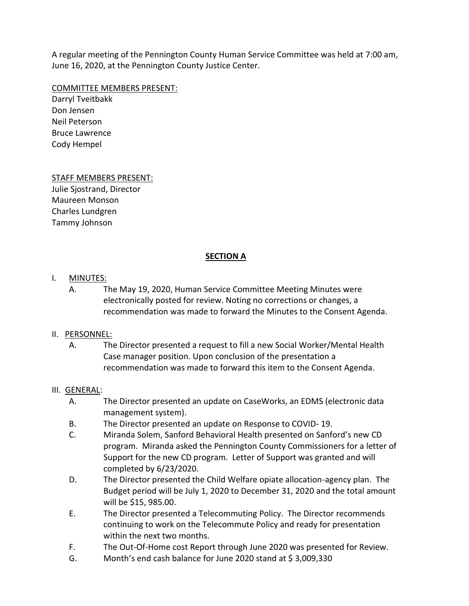A regular meeting of the Pennington County Human Service Committee was held at 7:00 am, June 16, 2020, at the Pennington County Justice Center.

### COMMITTEE MEMBERS PRESENT:

Darryl Tveitbakk Don Jensen Neil Peterson Bruce Lawrence Cody Hempel

## STAFF MEMBERS PRESENT:

Julie Sjostrand, Director Maureen Monson Charles Lundgren Tammy Johnson

## **SECTION A**

## I. MINUTES:

A. The May 19, 2020, Human Service Committee Meeting Minutes were electronically posted for review. Noting no corrections or changes, a recommendation was made to forward the Minutes to the Consent Agenda.

### II. PERSONNEL:

A. The Director presented a request to fill a new Social Worker/Mental Health Case manager position. Upon conclusion of the presentation a recommendation was made to forward this item to the Consent Agenda.

### III. GENERAL:

- A. The Director presented an update on CaseWorks, an EDMS (electronic data management system).
- B. The Director presented an update on Response to COVID- 19.
- C. Miranda Solem, Sanford Behavioral Health presented on Sanford's new CD program. Miranda asked the Pennington County Commissioners for a letter of Support for the new CD program. Letter of Support was granted and will completed by 6/23/2020.
- D. The Director presented the Child Welfare opiate allocation-agency plan. The Budget period will be July 1, 2020 to December 31, 2020 and the total amount will be \$15, 985.00.
- E. The Director presented a Telecommuting Policy. The Director recommends continuing to work on the Telecommute Policy and ready for presentation within the next two months.
- F. The Out-Of-Home cost Report through June 2020 was presented for Review.
- G. Month's end cash balance for June 2020 stand at  $\frac{2}{3}$ ,009,330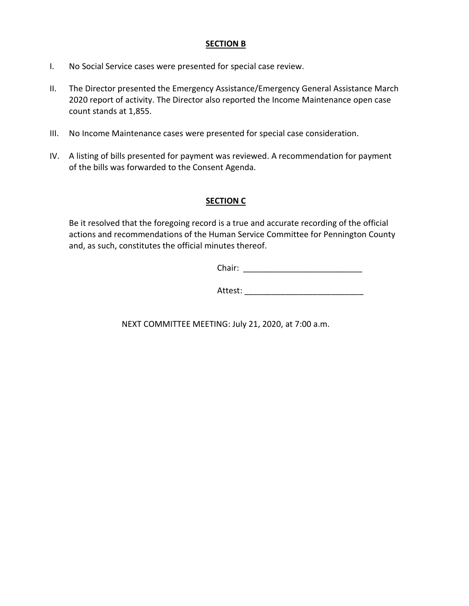### **SECTION B**

- I. No Social Service cases were presented for special case review.
- II. The Director presented the Emergency Assistance/Emergency General Assistance March 2020 report of activity. The Director also reported the Income Maintenance open case count stands at 1,855.
- III. No Income Maintenance cases were presented for special case consideration.
- IV. A listing of bills presented for payment was reviewed. A recommendation for payment of the bills was forwarded to the Consent Agenda.

### **SECTION C**

Be it resolved that the foregoing record is a true and accurate recording of the official actions and recommendations of the Human Service Committee for Pennington County and, as such, constitutes the official minutes thereof.

Chair: \_\_\_\_\_\_\_\_\_\_\_\_\_\_\_\_\_\_\_\_\_\_\_\_\_\_

Attest:

NEXT COMMITTEE MEETING: July 21, 2020, at 7:00 a.m.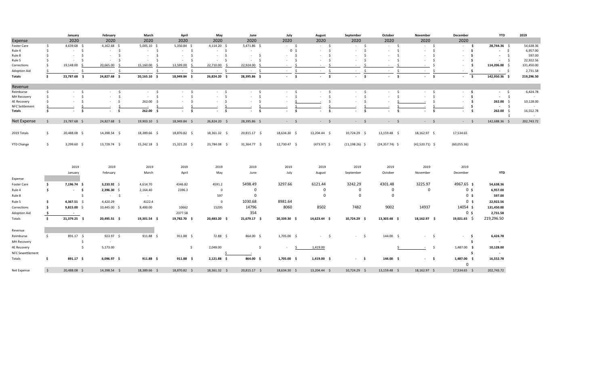|                                 |                     | January                          | February                       | March            | April                             | May                               | June                          | July               | August                  | September               | October                         | November                     | December       | <b>YTD</b>                        | 2019                |
|---------------------------------|---------------------|----------------------------------|--------------------------------|------------------|-----------------------------------|-----------------------------------|-------------------------------|--------------------|-------------------------|-------------------------|---------------------------------|------------------------------|----------------|-----------------------------------|---------------------|
| Expense                         |                     | 2020                             | 2020                           | 2020             | 2020                              | 2020                              | 2020                          | 2020               | 2020                    | 2020                    | 2020                            | 2020                         | 2020           |                                   |                     |
| Foster Care                     | S.                  | 4,639.68 \$                      | $4,162.68$ \$                  | $5,005.10$ \$    | $5,350.84$ \$                     | 4,114.20 \$                       | 5,471.86 \$                   | $-5$               | - \$                    | $\sim 100$<br>- \$      | $-5$                            | $-5$                         | $\sim$ \$      | 28,744.36 \$                      | 54,638.36           |
| Rule 4                          | \$                  | $-5$                             | $\mathsf{S}$<br>$\sim 10^{-1}$ | $-5$             | $-5$                              | $-5$                              | $\sim$                        | 0 <sup>5</sup>     | $\mathsf{S}$<br>$\sim$  | $\mathsf{s}$<br>$\sim$  | S.<br>$\sim$                    | $-5$                         | $-5$           | $-5$                              | 6,957.00            |
| Rule 8                          | \$                  | $-5$                             | -Ś<br>$\sim$                   | - \$<br>$\sim$   | $\ddot{\mathsf{s}}$<br>$\sim$     | $\ddot{\mathsf{s}}$<br>$\sim$ $-$ | $\ddot{\mathsf{s}}$<br>$\sim$ | s.<br>$\sim$       | -Ś                      | Ŝ.<br>$\sim$            | - Ś<br>$\sim$                   | - \$<br>$\sim$               | \$             | $-5$                              | 597.00              |
| Rule 5                          | Ŝ.                  | - Ś<br>$\sim$                    | -Ś                             | - Ś<br>$\sim$    | - Ś<br>$\sim$                     | - Ś<br>$\sim$                     | -Ś                            | - Ś                | Ŝ.                      | Ŝ.                      | - Ś<br>$\sim$                   | - \$<br>$\sim$               | \$             | $\ddot{\mathsf{s}}$<br>$\sim 100$ | 22,922.56           |
| Corrections                     | Ś.                  | 19,148.00                        | 20,665.00                      | 15,160.00<br>- 9 | 13,599.00<br>- S                  | 22,710.00                         | 22,924.00                     |                    |                         | $\sim$                  | - Ś<br>$\sim$                   | - S<br>$\sim$                | - \$           | 114,206.00 \$                     | 131,450.00          |
| <b>Adoption Aid</b>             | Ŝ.                  | - \$<br>$\sim 10^{-11}$          | -Ś<br>$\sim$                   | - \$<br>$\sim$   | \$<br>$\sim$                      | - Ś<br>$\sim$                     | $\mathsf{S}$<br>$\sim$        | S.<br>$\sim$       | <sup>\$</sup><br>$\sim$ | <sup>\$</sup><br>$\sim$ | - Ś<br>$\sim$                   | $\mathsf{\hat{S}}$<br>$\sim$ | - \$           | $-5$                              | 2,731.58            |
| <b>Totals</b>                   | \$                  | 23,787.68 \$                     | 24,827.68 \$                   | $20,165.10$ \$   | 18,949.84 \$                      | 26,824.20 \$                      | 28,395.86 \$                  | $-5$               | $-5$                    | $-5$                    | $-5$                            | $-5$                         | $-5$           | 142,950.36 \$                     | 219,296.50          |
| Revenue                         |                     |                                  |                                |                  |                                   |                                   |                               |                    |                         |                         |                                 |                              |                |                                   |                     |
| Reimburse                       | \$                  | $-5$                             | - \$<br>$\sim 100$             | $-5$             | $\ddot{\mathsf{s}}$<br>$\sim 100$ | $-5$                              | $-5$                          | $-5$               | $-5$                    | $-5$                    | - \$<br>$\sim$                  | $-5$                         | $-5$           | $-5$                              | 6,424.78            |
| MH Recovery                     | \$                  | $\mathsf{S}$<br>$\sim$           | Ŝ.<br>$\sim$                   | S.<br>$\sim$     | \$<br>$\sim$                      | S.<br>$\sim$                      | s.<br>$\sim$                  | $\dot{\mathsf{s}}$ | \$                      | S.                      | S.<br>$\sim$                    | $\mathsf{\hat{S}}$<br>×.     | \$             | $\mathsf{S}$<br>$\sim 100$        |                     |
| 4E Recovery                     | Ŝ.                  | - Ś<br>$\sim$                    | \$<br>$\sim$                   | 262.00<br>- Ś    | Ŝ.<br>$\sim$                      | - Ś<br>the con-                   | -Ś<br>$\sim$                  |                    | Ŝ.                      | S.                      |                                 | S.                           | - \$           | 262.00 \$                         | 10,128.00           |
| <b>NFC Settlement</b>           |                     |                                  |                                | $\sim$           |                                   |                                   |                               |                    |                         |                         |                                 |                              | \$             | $-$ \$                            |                     |
| Totals                          | Ŝ.                  | - \$<br>$\overline{\phantom{a}}$ | - \$<br>$\sim$                 | 262.00 \$        | \$<br>$\sim$                      | -\$<br>$\sim$                     | \$<br>$\sim$                  | - \$               | \$                      | - \$                    | -\$<br>$\overline{\phantom{a}}$ | - \$                         | \$             | 262.00 \$<br>-\$                  | 16,552.78<br>$\sim$ |
| Net Expense                     | $\frac{1}{2}$       | 23,787.68 \$                     | 24,827.68 \$                   | 19,903.10 \$     | 18,949.84 \$                      | 26,824.20 \$                      | 28,395.86 \$                  | $-$ \$             | $-$ \$                  | $-$ \$                  | $-$ \$                          | $-5$                         | $-5$           | 142,688.36 \$                     | 202,743.72          |
|                                 |                     |                                  | 14,398.54 \$                   |                  | 18,870.82 \$                      | 18,361.32 \$                      |                               | 18,634.30 \$       |                         |                         |                                 |                              |                |                                   |                     |
| 2019 Totals                     | \$                  | 20,488.08 \$                     |                                | 18,389.66 \$     |                                   |                                   | 20,815.17 \$                  |                    | 13,204.44 \$            | 10,724.29 \$            | 13,159.48 \$                    | 18,162.97 \$                 | 17,534.65      |                                   |                     |
| <b>YTD Change</b>               | $\frac{1}{2}$       | $3,299.60$ \$                    | 13,728.74 \$                   | 15,242.18 \$     | 15,321.20 \$                      | 23,784.08 \$                      | 31,364.77 \$                  | 12,730.47 \$       | $(473.97)$ \$           | $(11, 198.26)$ \$       | $(24,357.74)$ \$                | $(42,520.71)$ \$             | (60,055.36)    |                                   |                     |
|                                 |                     |                                  |                                |                  |                                   |                                   |                               |                    |                         |                         |                                 |                              |                |                                   |                     |
|                                 |                     | 2019                             | 2019                           | 2019             | 2019                              | 2019                              | 2019                          | 2019               | 2019                    | 2019                    | 2019                            | 2019                         | 2019           |                                   |                     |
|                                 |                     | January                          | February                       | March            | April                             | May                               | June                          | July               | August                  | September               | October                         | November                     | December       | <b>YTD</b>                        |                     |
| Expense                         |                     |                                  |                                |                  |                                   |                                   |                               |                    |                         |                         |                                 |                              |                |                                   |                     |
| Foster Care                     | \$                  | 7,196.74 \$                      | $3,233.92$ \$                  | 4,614.70         | 4346.82                           | 4591.2                            | 5498.49                       | 3297.66            | 6121.44                 | 3242.29                 | 4301.48                         | 3225.97                      | 4967.65 \$     | 54,638.36                         |                     |
|                                 |                     |                                  |                                |                  |                                   | $\overline{0}$                    | $\mathbf 0$                   |                    | $\mathbf 0$             | 0                       | $\mathbf 0$                     | $\mathbf 0$                  | 0 <sup>5</sup> |                                   |                     |
| Rule 4                          | \$                  | $-5$                             | $2,396.30$ \$                  | 2,164.40         | 2396.3                            |                                   |                               |                    |                         |                         |                                 |                              |                | 6,957.00                          |                     |
| Rule 8                          |                     | $\mathsf{S}$                     | $-5$                           | $\sim$ $-$       |                                   | 597                               | $\mathbf 0$                   |                    | $\mathbf 0$             | $\mathbf 0$             | $\mathbf 0$                     |                              | 0 <sup>5</sup> | 597.00                            |                     |
| Rule 5                          | \$                  | 4,367.51 \$                      | 4,420.29                       | 4122.4           |                                   | $\mathbf 0$                       | 1030.68                       | 8981.64            |                         |                         |                                 |                              | 0 <sub>5</sub> | 22,922.56                         |                     |
| Corrections                     | \$                  | $9,815.00$ \$                    | 10,445.00 \$                   | 8,400.00         | 10662                             | 15295                             | 14796                         | 8060               | 8502                    | 7482                    | 9002                            | 14937                        | 14054 \$       | 131,450.00                        |                     |
| <b>Adoption Aid</b>             | \$                  | $\sim 10^{-11}$                  |                                |                  | 2377.58                           |                                   | 354                           |                    |                         |                         |                                 |                              | 0 <sub>5</sub> | 2,731.58                          |                     |
| Totals                          | $\frac{1}{2}$       | 21,379.25 \$                     | 20,495.51 \$                   | 19,301.54 \$     | 19,782.70 \$                      | 20,483.20 \$                      | 21,679.17 \$                  | 20,339.30 \$       | 14,623.44 \$            | 10,724.29 \$            | 13,303.48 \$                    | 18,162.97 \$                 | $19,021.65$ \$ | 219,296.50                        |                     |
| Revenue                         |                     |                                  |                                |                  |                                   |                                   |                               |                    |                         |                         |                                 |                              |                |                                   |                     |
| Reimburse                       | $\ddot{\mathsf{S}}$ | 891.17 \$                        | $923.97$ \$                    | $911.88 \div$    | 911.88 \$                         | 72.88 \$                          | 864.00 \$                     | 1,705.00 \$        | $-5$                    | $-5$                    | 144.00 \$                       | $-5$                         | $-5$           | 6,424.78                          |                     |
| MH Recovery                     |                     | \$                               | $\sim$                         |                  |                                   |                                   |                               |                    |                         |                         |                                 |                              | Ŝ.             | $\sim$                            |                     |
|                                 |                     | \$                               | 5,173.00                       |                  | $\frac{1}{2}$                     | 2,049.00                          | \$                            |                    | 1,419.00                |                         |                                 | $\ddot{\mathsf{s}}$          | 1,487.00 \$    | 10,128.00                         |                     |
| 4E Recovery<br>NFC Sewettlement |                     |                                  |                                |                  |                                   |                                   |                               |                    |                         |                         |                                 |                              | \$             | $\sim$                            |                     |
| Totals                          | \$                  | $891.17$ \$                      | $6,096.97$ \$                  | $911.88 \quad $$ | $911.88 \quad $$                  | $2,121.88$ \$                     | 864.00 \$                     | $1,705.00$ \$      | $1,419.00$ \$           | $-5$                    | 144.00 \$                       | $-5$                         | $1,487.00$ \$  | 16,552.78                         |                     |
|                                 |                     |                                  |                                |                  |                                   |                                   |                               |                    |                         |                         |                                 |                              | $\mathbf 0$    |                                   |                     |
| Net Expense                     | $\mathsf{S}$        | 20,488.08 \$                     | 14,398.54 \$                   | 18,389.66 \$     | 18,870.82 \$                      | 18,361.32 \$                      | 20,815.17 \$                  | 18,634.30 \$       | 13,204.44 \$            | 10,724.29 \$            | 13,159.48 \$                    | 18,162.97 \$                 | 17,534.65 \$   | 202,743.72                        |                     |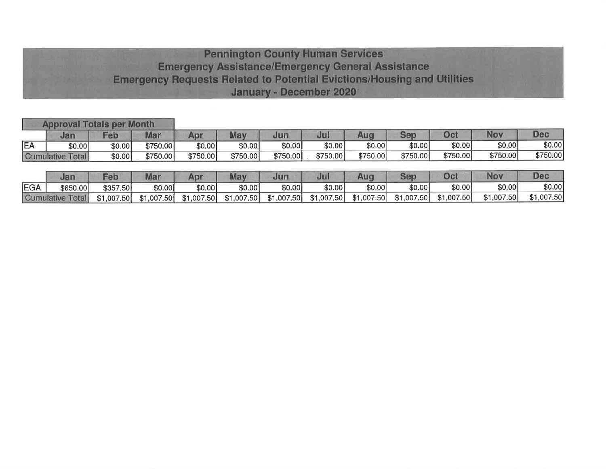## **Pennington County Human Services Emergency Assistance/Emergency General Assistance Emergency Requests Related to Potential Evictions/Housing and Utilities** January - December 2020

|           | <b>Approval Totals per Month</b> |            |             |            |            |            |            |            |            |            |            |            |
|-----------|----------------------------------|------------|-------------|------------|------------|------------|------------|------------|------------|------------|------------|------------|
|           | Jan                              | Feb        | Mar         | Apr        | May        | Jun        | Jul        | Aug        | Sep        | Oct        | Nov        | <b>Dec</b> |
| <b>EA</b> | \$0.00                           | \$0.00     | \$750.00    | \$0.00     | \$0.00     | \$0.00]    | \$0.00     | \$0.00     | \$0.00     | \$0.00     | \$0.00     | \$0.00     |
|           | Cumulative Total                 | \$0.00     | \$750.00    | \$750.00   | \$750.00   | \$750.00   | \$750.00   | \$750.00   | \$750.00   | \$750.00   | \$750.00   | \$750.00   |
|           |                                  |            |             |            |            |            |            |            |            |            |            |            |
|           | Jan                              | Feb        | <b>Mar</b>  | Apr        | May        | Jun        | Jul        | Aug        | Sep        | Oct        | Nov        | <b>Dec</b> |
| EGA       | \$650.00                         | \$357.50   | \$0.00      | \$0.00     | \$0.00     | \$0.00     | \$0.00     | \$0.00     | \$0.00     | \$0.00     | \$0.00     | \$0.00]    |
|           | <b>Cumulative Total</b>          | \$1,007.50 | \$1,007.50] | \$1,007.50 | \$1,007.50 | \$1,007.50 | \$1,007.50 | \$1,007.50 | \$1,007.50 | \$1,007.50 | \$1,007.50 | \$1,007.50 |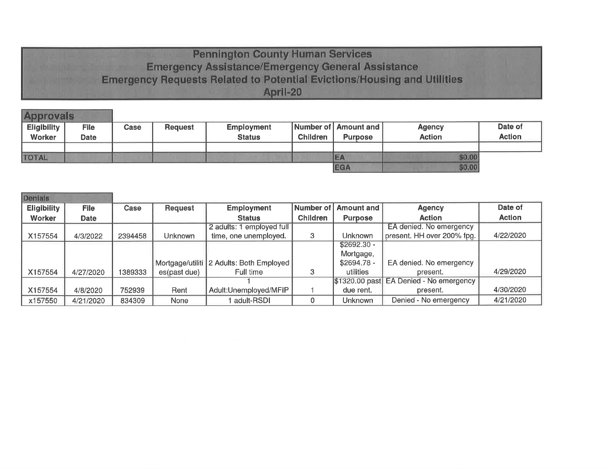## **Pennington County Human Services Emergency Assistance/Emergency General Assistance Emergency Requests Related to Potential Evictions/Housing and Utilities** April-20

| rovals                       |                     |      |                |                                    |                 |                                        |                                |                          |
|------------------------------|---------------------|------|----------------|------------------------------------|-----------------|----------------------------------------|--------------------------------|--------------------------|
| <b>Eligibility</b><br>Worker | <b>File</b><br>Date | Case | <b>Request</b> | <b>Employment</b><br><b>Status</b> | <b>Children</b> | Number of Amount and<br><b>Purpose</b> | <b>Agency</b><br><b>Action</b> | Date of<br><b>Action</b> |
| <b>TOTAL</b>                 |                     |      |                |                                    |                 |                                        | \$0.00                         |                          |
|                              |                     |      |                |                                    |                 | <b>EGA</b>                             | \$0.00                         |                          |

| Denials            |             |         |                |                                          |                 |                 |                                 |               |
|--------------------|-------------|---------|----------------|------------------------------------------|-----------------|-----------------|---------------------------------|---------------|
| <b>Eligibility</b> | <b>File</b> | Case    | <b>Request</b> | <b>Employment</b>                        | Number of       | Amount and      | <b>Agency</b>                   | Date of       |
| Worker             | <b>Date</b> |         |                | <b>Status</b>                            | <b>Children</b> | <b>Purpose</b>  | <b>Action</b>                   | <b>Action</b> |
|                    |             |         |                | 2 adults: 1 employed full                |                 |                 | EA denied. No emergency         |               |
| X157554            | 4/3/2022    | 2394458 | <b>Unknown</b> | time, one unemployed.                    | 3               | <b>Unknown</b>  | present. HH over 200% fpg.      | 4/22/2020     |
|                    |             |         |                |                                          |                 | $$2692.30 -$    |                                 |               |
|                    |             |         |                |                                          |                 | Mortgage,       |                                 |               |
|                    |             |         |                | Mortgage/utiliti 2 Adults: Both Employed |                 | $$2694.78 -$    | EA denied. No emergency         |               |
| X157554            | 4/27/2020   | 1389333 | es(past due)   | Full time                                |                 | utilities       | present.                        | 4/29/2020     |
|                    |             |         |                |                                          |                 | $$1320.00$ past | <b>EA Denied - No emergency</b> |               |
| X157554            | 4/8/2020    | 752939  | Rent           | Adult:Unemployed/MFIP                    |                 | due rent.       | present.                        | 4/30/2020     |
| x157550            | 4/21/2020   | 834309  | None           | adult-RSDI                               |                 | <b>Unknown</b>  | Denied - No emergency           | 4/21/2020     |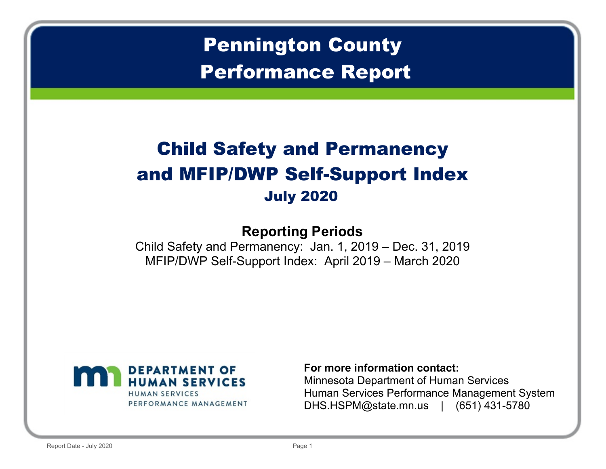# **Pennington County** Performance Report

# **Child Safety and Permanency** and MFIP/DWP Self-Support Index **July 2020**

## **Reporting Periods**

Child Safety and Permanency: Jan. 1,  $2019 - Dec.31$ ,  $2019$ MFIP/DWP Self-Support Index: April 2019 – March 2020



## For more information contact:

Minnesota Department of Human Services Human Services Performance Management System DHS.HSPM@state.mn.us | (651) 431-5780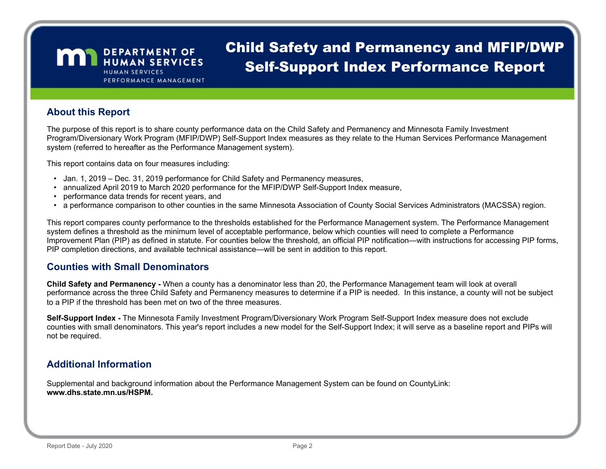**MAN** DEPARTMENT OF **HUMAN SERVICES** PERFORMANCE MANAGEMENT

## **Child Safety and Permanency and MFIP/DWP Self-Support Index Performance Report**

### **About this Report**

The purpose of this report is to share county performance data on the Child Safety and Permanency and Minnesota Family Investment Program/Diversionary Work Program (MFIP/DWP) Self-Support Index measures as they relate to the Human Services Performance Management system (referred to hereafter as the Performance Management system).

This report contains data on four measures including:

- Jan. 1, 2019 Dec. 31, 2019 performance for Child Safety and Permanency measures,
- annualized April 2019 to March 2020 performance for the MFIP/DWP Self-Support Index measure,
- performance data trends for recent years, and
- a performance comparison to other counties in the same Minnesota Association of County Social Services Administrators (MACSSA) region.

This report compares county performance to the thresholds established for the Performance Management system. The Performance Management system defines a threshold as the minimum level of acceptable performance, below which counties will need to complete a Performance Improvement Plan (PIP) as defined in statute. For counties below the threshold, an official PIP notification—with instructions for accessing PIP forms, PIP completion directions, and available technical assistance—will be sent in addition to this report.

## **Counties with Small Denominators**

Child Safety and Permanency - When a county has a denominator less than 20, the Performance Management team will look at overall performance across the three Child Safety and Permanency measures to determine if a PIP is needed. In this instance, a county will not be subject to a PIP if the threshold has been met on two of the three measures.

Self-Support Index - The Minnesota Family Investment Program/Diversionary Work Program Self-Support Index measure does not exclude counties with small denominators. This year's report includes a new model for the Self-Support Index; it will serve as a baseline report and PIPs will not be required.

## **Additional Information**

Supplemental and background information about the Performance Management System can be found on CountyLink: www.dhs.state.mn.us/HSPM.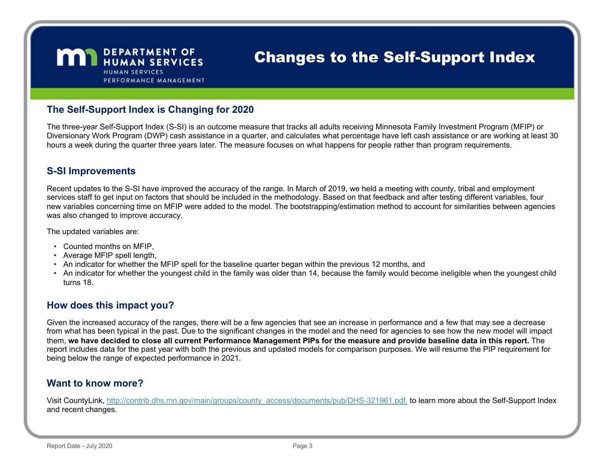

## **Changes to the Self-Support Index**

### The Self-Support Index is Changing for 2020

The three-year Self-Support Index (S-SI) is an outcome measure that tracks all adults receiving Minnesota Family Investment Program (MFIP) or Diversionary Work Program (DWP) cash assistance in a quarter, and calculates what percentage have left cash assistance or are working at least 30 hours a week during the quarter three years later. The measure focuses on what happens for people rather than program requirements.

#### **S-SI Improvements**

Recent updates to the S-SI have improved the accuracy of the range. In March of 2019, we held a meeting with county, tribal and employment services staff to get input on factors that should be included in the methodology. Based on that feedback and after testing different variables, four new variables concerning time on MFIP were added to the model. The bootstrapping/estimation method to account for similarities between agencies was also changed to improve accuracy.

The updated variables are:

- Counted months on MFIP,
- Average MFIP spell length,
- An indicator for whether the MFIP spell for the baseline quarter began within the previous 12 months, and
- An indicator for whether the youngest child in the family was older than 14, because the family would become ineligible when the youngest child turns 18.

## How does this impact you?

Given the increased accuracy of the ranges, there will be a few agencies that see an increase in performance and a few that may see a decrease from what has been typical in the past. Due to the significant changes in the model and the need for agencies to see how the new model will impact them, we have decided to close all current Performance Management PIPs for the measure and provide baseline data in this report. The report includes data for the past year with both the previous and updated models for comparison purposes. We will resume the PIP requirement for being below the range of expected performance in 2021.

## Want to know more?

Visit CountyLink, http://contrib.dhs.mn.gov/main/groups/county\_access/documents/pub/DHS-321961.pdf, to learn more about the Self-Support Index and recent changes.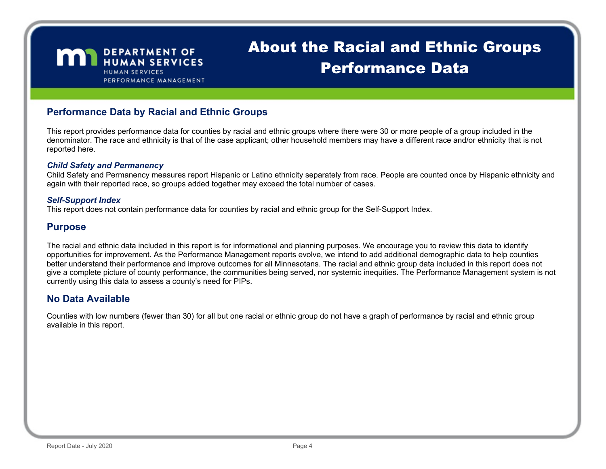**MAN** DEPARTMENT OF **HUMAN SERVICES** PERFORMANCE MANAGEMENT

## **About the Racial and Ethnic Groups** Performance Data

## Performance Data by Racial and Ethnic Groups

This report provides performance data for counties by racial and ethnic groups where there were 30 or more people of a group included in the denominator. The race and ethnicity is that of the case applicant; other household members may have a different race and/or ethnicity that is not reported here.

#### **Child Safety and Permanency**

Child Safety and Permanency measures report Hispanic or Latino ethnicity separately from race. People are counted once by Hispanic ethnicity and again with their reported race, so groups added together may exceed the total number of cases.

#### Self-Support Index

This report does not contain performance data for counties by racial and ethnic group for the Self-Support Index.

## Purpose

The racial and ethnic data included in this report is for informational and planning purposes. We encourage you to review this data to identify opportunities for improvement. As the Performance Management reports evolve, we intend to add additional demographic data to help counties better understand their performance and improve outcomes for all Minnesotans. The racial and ethnic group data included in this report does not give a complete picture of county performance, the communities being served, nor systemic inequities. The Performance Management system is not currently using this data to assess a county's need for PIPs.

## No Data Available

Counties with low numbers (fewer than 30) for all but one racial or ethnic group do not have a graph of performance by racial and ethnic group available in this report.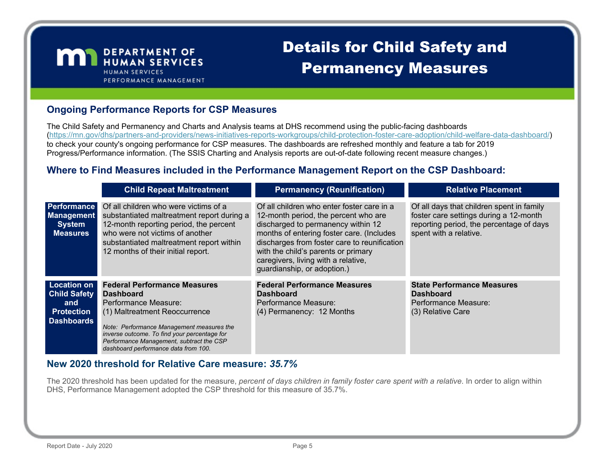

## **Details for Child Safety and Permanency Measures**

## **Ongoing Performance Reports for CSP Measures**

The Child Safety and Permanency and Charts and Analysis teams at DHS recommend using the public-facing dashboards (https://mn.gov/dhs/partners-and-providers/news-initiatives-reports-workgroups/child-protection-foster-care-adoption/child-welfare-data-dashboard/) to check your county's ongoing performance for CSP measures. The dashboards are refreshed monthly and feature a tab for 2019 Progress/Performance information. (The SSIS Charting and Analysis reports are out-of-date following recent measure changes.)

## Where to Find Measures included in the Performance Management Report on the CSP Dashboard:

|                                                                                            | <b>Child Repeat Maltreatment</b>                                                                                                                                                                                                                                                                  | <b>Permanency (Reunification)</b>                                                                                                                                                                                                                                                                                                  | <b>Relative Placement</b>                                                                                                                                 |
|--------------------------------------------------------------------------------------------|---------------------------------------------------------------------------------------------------------------------------------------------------------------------------------------------------------------------------------------------------------------------------------------------------|------------------------------------------------------------------------------------------------------------------------------------------------------------------------------------------------------------------------------------------------------------------------------------------------------------------------------------|-----------------------------------------------------------------------------------------------------------------------------------------------------------|
| <b>Performance</b><br><b>Management</b><br><b>System</b><br><b>Measures</b>                | Of all children who were victims of a<br>substantiated maltreatment report during a<br>12-month reporting period, the percent<br>who were not victims of another<br>substantiated maltreatment report within<br>12 months of their initial report.                                                | Of all children who enter foster care in a<br>12-month period, the percent who are<br>discharged to permanency within 12<br>months of entering foster care. (Includes<br>discharges from foster care to reunification<br>with the child's parents or primary<br>caregivers, living with a relative,<br>guardianship, or adoption.) | Of all days that children spent in family<br>foster care settings during a 12-month<br>reporting period, the percentage of days<br>spent with a relative. |
| <b>Location on</b><br><b>Child Safety</b><br>and<br><b>Protection</b><br><b>Dashboards</b> | <b>Federal Performance Measures</b><br><b>Dashboard</b><br>Performance Measure:<br>(1) Maltreatment Reoccurrence<br>Note: Performance Management measures the<br>inverse outcome. To find your percentage for<br>Performance Management, subtract the CSP<br>dashboard performance data from 100. | <b>Federal Performance Measures</b><br><b>Dashboard</b><br>Performance Measure:<br>(4) Permanency: 12 Months                                                                                                                                                                                                                       | <b>State Performance Measures</b><br><b>Dashboard</b><br>Performance Measure:<br>(3) Relative Care                                                        |

## New 2020 threshold for Relative Care measure: 35.7%

The 2020 threshold has been updated for the measure, percent of days children in family foster care spent with a relative. In order to align within DHS, Performance Management adopted the CSP threshold for this measure of 35.7%.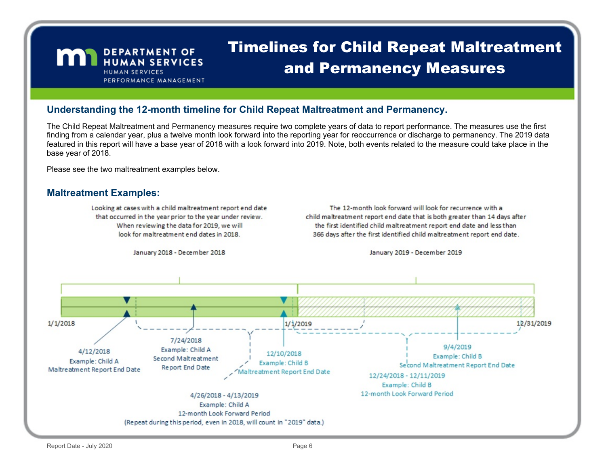## **Timelines for Child Repeat Maltreatment** and Permanency Measures

### Understanding the 12-month timeline for Child Repeat Maltreatment and Permanency.

The Child Repeat Maltreatment and Permanency measures require two complete years of data to report performance. The measures use the first finding from a calendar year, plus a twelve month look forward into the reporting year for reoccurrence or discharge to permanency. The 2019 data featured in this report will have a base year of 2018 with a look forward into 2019. Note, both events related to the measure could take place in the base year of 2018.

Please see the two maltreatment examples below.

**MAN** DEPARTMENT OF

**HUMAN SERVICES** 

PERFORMANCE MANAGEMENT

#### **Maltreatment Examples:**

Looking at cases with a child maltreatment report end date that occurred in the year prior to the year under review. When reviewing the data for 2019, we will look for maltreatment end dates in 2018.

The 12-month look forward will look for recurrence with a child maltreatment report end date that is both greater than 14 days after the first identified child maltreatment report end date and less than 366 days after the first identified child maltreatment report end date.

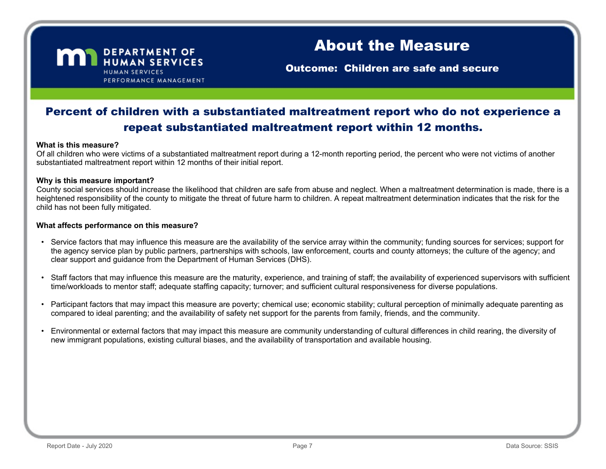

**Outcome: Children are safe and secure** 

## Percent of children with a substantiated maltreatment report who do not experience a repeat substantiated maltreatment report within 12 months.

#### What is this measure?

Of all children who were victims of a substantiated maltreatment report during a 12-month reporting period, the percent who were not victims of another substantiated maltreatment report within 12 months of their initial report.

#### Why is this measure important?

County social services should increase the likelihood that children are safe from abuse and neglect. When a maltreatment determination is made, there is a heightened responsibility of the county to mitigate the threat of future harm to children. A repeat maltreatment determination indicates that the risk for the child has not been fully mitigated.

- Service factors that may influence this measure are the availability of the service array within the community; funding sources for services; support for the agency service plan by public partners, partnerships with schools, law enforcement, courts and county attorneys; the culture of the agency; and clear support and guidance from the Department of Human Services (DHS).
- Staff factors that may influence this measure are the maturity, experience, and training of staff; the availability of experienced supervisors with sufficient time/workloads to mentor staff; adequate staffing capacity; turnover; and sufficient cultural responsiveness for diverse populations.
- Participant factors that may impact this measure are poverty; chemical use; economic stability; cultural perception of minimally adequate parenting as compared to ideal parenting; and the availability of safety net support for the parents from family, friends, and the community.
- Environmental or external factors that may impact this measure are community understanding of cultural differences in child rearing, the diversity of new immigrant populations, existing cultural biases, and the availability of transportation and available housing.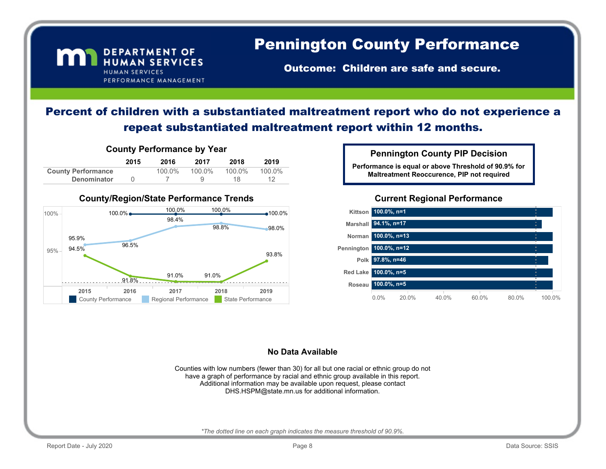#### **DEPARTMENT OF** m HUMAN SERVICES **HUMAN SERVICES** PERFORMANCE MANAGEMENT

## **Pennington County Performance**

**Outcome: Children are safe and secure.** 

## Percent of children with a substantiated maltreatment report who do not experience a repeat substantiated maltreatment report within 12 months.



#### County/Region/State Performance Trends



**Pennington County PIP Decision** 

Performance is equal or above Threshold of 90.9% for Maltreatment Reoccurence, PIP not required

### **Current Regional Performance**



#### **No Data Available**

Counties with low numbers (fewer than 30) for all but one racial or ethnic group do not have a graph of performance by racial and ethnic group available in this report. Additional information may be available upon request, please contact DHS.HSPM@state.mn.us for additional information.

\*The dotted line on each graph indicates the measure threshold of 90.9%.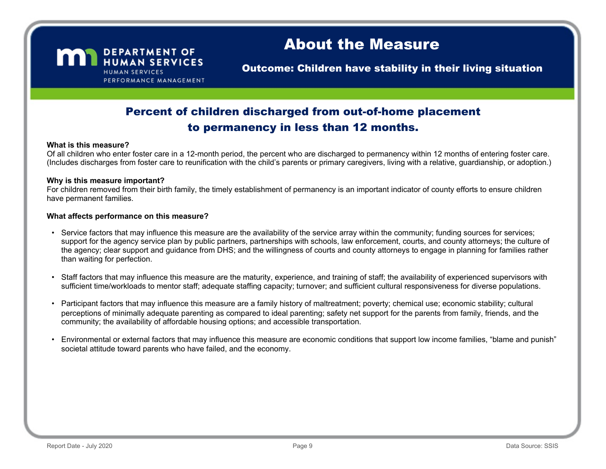

**Outcome: Children have stability in their living situation** 

## Percent of children discharged from out-of-home placement to permanency in less than 12 months.

#### What is this measure?

Of all children who enter foster care in a 12-month period, the percent who are discharged to permanency within 12 months of entering foster care. (Includes discharges from foster care to reunification with the child's parents or primary caregivers, living with a relative, guardianship, or adoption.)

#### Why is this measure important?

For children removed from their birth family, the timely establishment of permanency is an important indicator of county efforts to ensure children have permanent families.

- Service factors that may influence this measure are the availability of the service array within the community; funding sources for services; support for the agency service plan by public partners, partnerships with schools, law enforcement, courts, and county attorneys; the culture of the agency; clear support and guidance from DHS; and the willingness of courts and county attorneys to engage in planning for families rather than waiting for perfection.
- Staff factors that may influence this measure are the maturity, experience, and training of staff; the availability of experienced supervisors with sufficient time/workloads to mentor staff; adequate staffing capacity; turnover; and sufficient cultural responsiveness for diverse populations.
- Participant factors that may influence this measure are a family history of maltreatment; poverty; chemical use; economic stability; cultural perceptions of minimally adequate parenting as compared to ideal parenting; safety net support for the parents from family, friends, and the community; the availability of affordable housing options; and accessible transportation.
- Environmental or external factors that may influence this measure are economic conditions that support low income families, "blame and punish" societal attitude toward parents who have failed, and the economy.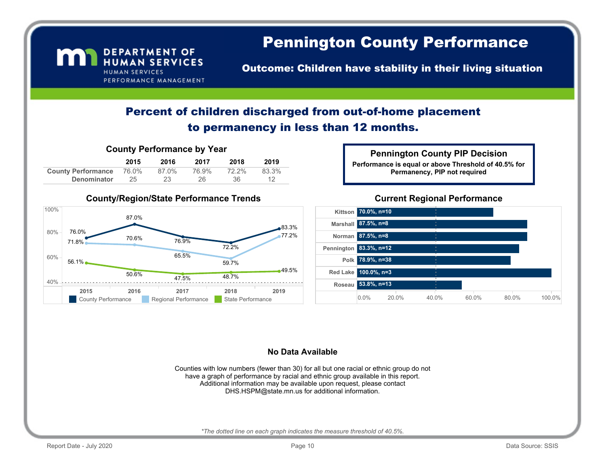#### **DEPARTMENT OF** m HUMAN SERVICES **HUMAN SERVICES** PERFORMANCE MANAGEMENT

## **Pennington County Performance**

**Outcome: Children have stability in their living situation** 

## Percent of children discharged from out-of-home placement to permanency in less than 12 months.

|  | <b>County Performance by Year</b> |  |
|--|-----------------------------------|--|
|--|-----------------------------------|--|

|                           | 2015  | 2016  | 2017  | 2018  | 2019  |
|---------------------------|-------|-------|-------|-------|-------|
| <b>County Performance</b> | 76.0% | 87.0% | 76.9% | 72.2% | 83.3% |
| Denominator               | 25    | 23    | 26    | 36    |       |

#### **County/Region/State Performance Trends**



#### **Pennington County PIP Decision**

Performance is equal or above Threshold of 40.5% for Permanency, PIP not required

#### **Current Regional Performance**



#### **No Data Available**

Counties with low numbers (fewer than 30) for all but one racial or ethnic group do not have a graph of performance by racial and ethnic group available in this report. Additional information may be available upon request, please contact DHS.HSPM@state.mn.us for additional information.

\*The dotted line on each graph indicates the measure threshold of 40.5%.

CountyRegionFINAL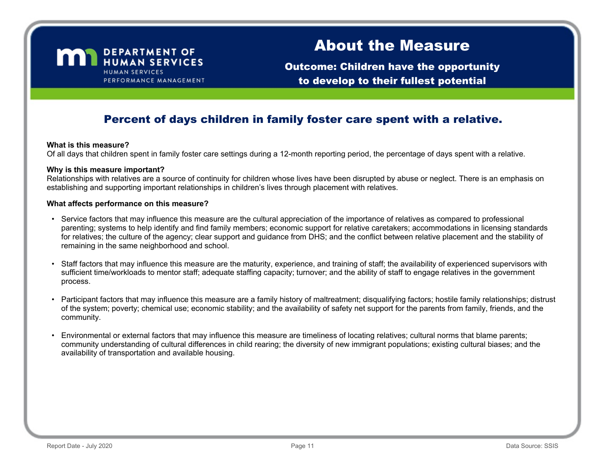

**Outcome: Children have the opportunity** to develop to their fullest potential

## Percent of days children in family foster care spent with a relative.

#### What is this measure?

Of all days that children spent in family foster care settings during a 12-month reporting period, the percentage of days spent with a relative.

#### Why is this measure important?

Relationships with relatives are a source of continuity for children whose lives have been disrupted by abuse or neglect. There is an emphasis on establishing and supporting important relationships in children's lives through placement with relatives.

- Service factors that may influence this measure are the cultural appreciation of the importance of relatives as compared to professional parenting; systems to help identify and find family members; economic support for relative caretakers; accommodations in licensing standards for relatives; the culture of the agency; clear support and guidance from DHS; and the conflict between relative placement and the stability of remaining in the same neighborhood and school.
- Staff factors that may influence this measure are the maturity, experience, and training of staff; the availability of experienced supervisors with sufficient time/workloads to mentor staff; adequate staffing capacity; turnover; and the ability of staff to engage relatives in the government process.
- Participant factors that may influence this measure are a family history of maltreatment; disqualifying factors; hostile family relationships; distrust of the system; poverty; chemical use; economic stability; and the availability of safety net support for the parents from family, friends, and the community.
- Environmental or external factors that may influence this measure are timeliness of locating relatives; cultural norms that blame parents; community understanding of cultural differences in child rearing; the diversity of new immigrant populations; existing cultural biases; and the availability of transportation and available housing.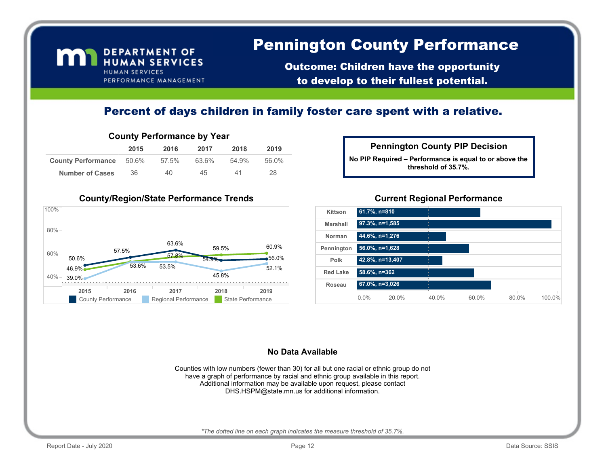## **Pennington County Performance**

**Outcome: Children have the opportunity** to develop to their fullest potential.

## Percent of days children in family foster care spent with a relative.

### **County Performance by Year**

DEPARTMENT OF HUMAN SERVICES

PERFORMANCE MANAGEMENT

**HUMAN SERVICES** 

m

|                                 | 2015 | 2016  | 2017  | 2018  | 2019  |
|---------------------------------|------|-------|-------|-------|-------|
| <b>County Performance</b> 50.6% |      | 57.5% | 63.6% | 54.9% | 56.0% |
| <b>Number of Cases</b>          | 36   | 40    | 45    | 41    | 28.   |

## No PIP Required - Performance is equal to or above the threshold of 35.7%. **Pennington County PIP Decision**

#### County/Region/State Performance Trends



#### **Current Regional Performance**



#### **No Data Available**

Counties with low numbers (fewer than 30) for all but one racial or ethnic group do not have a graph of performance by racial and ethnic group available in this report. Additional information may be available upon request, please contact DHS.HSPM@state.mn.us for additional information.

\*The dotted line on each graph indicates the measure threshold of 35.7%.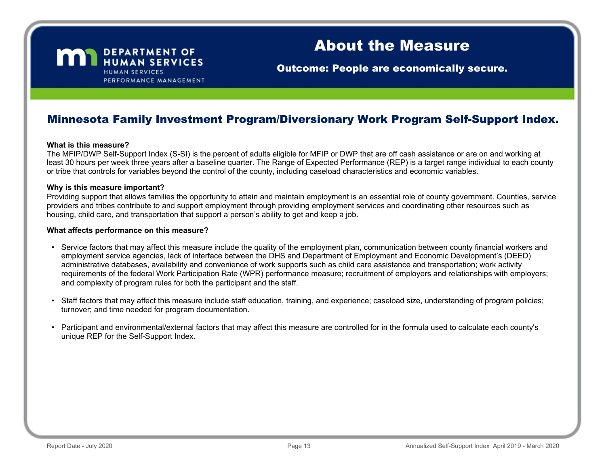

**Outcome: People are economically secure.** 

## Minnesota Family Investment Program/Diversionary Work Program Self-Support Index.

#### What is this measure?

The MFIP/DWP Self-Support Index (S-SI) is the percent of adults eligible for MFIP or DWP that are off cash assistance or are on and working at least 30 hours per week three years after a baseline quarter. The Range of Expected Performance (REP) is a target range individual to each county or tribe that controls for variables beyond the control of the county, including caseload characteristics and economic variables.

#### Why is this measure important?

Providing support that allows families the opportunity to attain and maintain employment is an essential role of county government. Counties, service providers and tribes contribute to and support employment through providing employment services and coordinating other resources such as housing, child care, and transportation that support a person's ability to get and keep a job.

- Service factors that may affect this measure include the quality of the employment plan, communication between county financial workers and employment service agencies, lack of interface between the DHS and Department of Employment and Economic Development's (DEED) administrative databases, availability and convenience of work supports such as child care assistance and transportation; work activity requirements of the federal Work Participation Rate (WPR) performance measure; recruitment of employers and relationships with employers; and complexity of program rules for both the participant and the staff.
- Staff factors that may affect this measure include staff education, training, and experience; caseload size, understanding of program policies; turnover; and time needed for program documentation.
- Participant and environmental/external factors that may affect this measure are controlled for in the formula used to calculate each county's unique REP for the Self-Support Index.